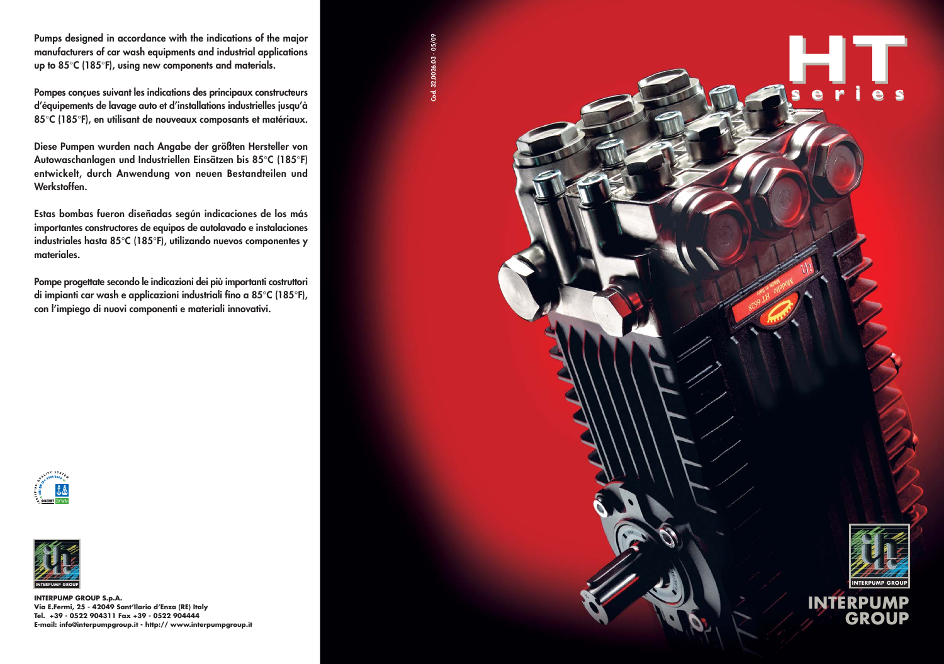**INTERPUMP GROUP**



**INTERPUMP GROUP S.p.A. Via E.Fermi, 25 - 42049 Sant'Ilario d'Enza (RE) Italy Tel. +39 - 0522 904311 Fax +39 - 0522 904444 E-mail: info@interpumpgroup.it - http:// www.interpumpgroup.it**



**Pumps designed in accordance with the indications of the major manufacturers of car wash equipments and industrial applications up to 85**°**C (185**°**F), using new components and materials.**

**Pompes conçues suivant les indications des principaux constructeurs d'équipements de lavage auto et d'installations industrielles jusqu'à 85**°**C (185**°**F), en utilisant de nouveaux composants et matériaux.**

**Diese Pumpen wurden nach Angabe der größten Hersteller von Autowaschanlagen und Industriellen Einsätzen bis 85**°**C (185**°**F) entwickelt, durch Anwendung von neuen Bestandteilen und Werkstoffen.**

**Estas bombas fueron diseñadas según indicaciones de los más importantes constructores de equipos de autolavado e instalaciones industriales hasta 85**°**C (185**°**F), utilizando nuevos componentes y materiales.**

**Pompe progettate secondo le indicazioni dei più importanti costruttori di impianti car wash e applicazioni industriali fino a 85**°**C (185**°**F), con l'impiego di nuovi componenti e materiali innovativi.**